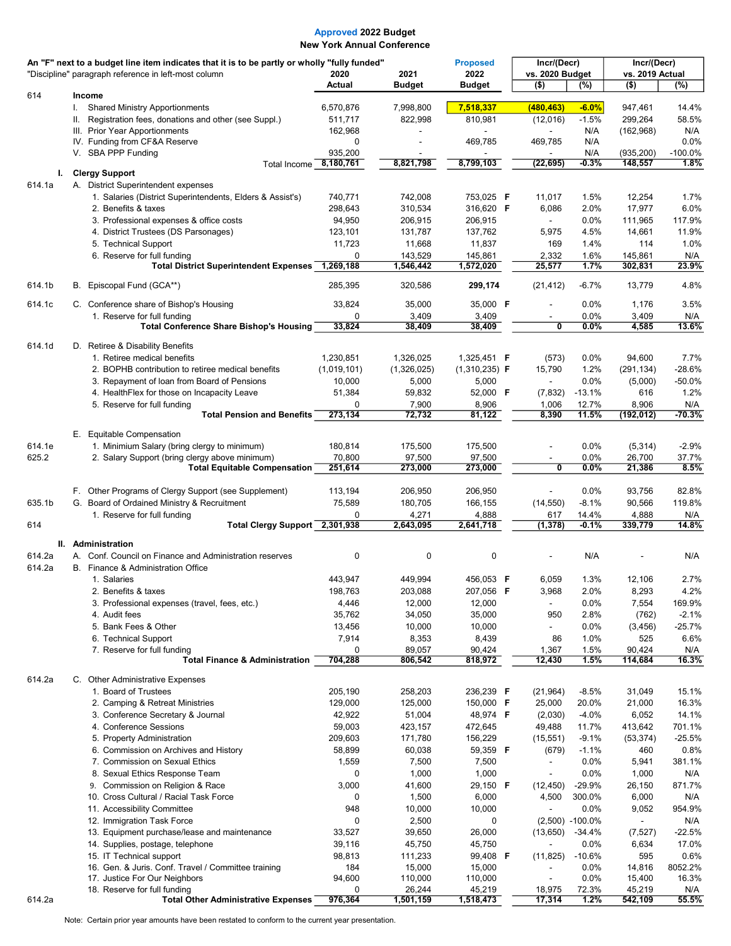| An "F" next to a budget line item indicates that it is to be partly or wholly "fully funded" |                                                                                       |                   |                   | <b>Proposed</b>        | Incr/(Decr)                               |                    | Incr/(Decr)              |                 |
|----------------------------------------------------------------------------------------------|---------------------------------------------------------------------------------------|-------------------|-------------------|------------------------|-------------------------------------------|--------------------|--------------------------|-----------------|
|                                                                                              | "Discipline" paragraph reference in left-most column                                  | 2020              | 2021              | 2022                   | vs. 2020 Budget                           |                    | vs. 2019 Actual          |                 |
| 614                                                                                          | Income                                                                                | Actual            | <b>Budget</b>     | <b>Budget</b>          | $($ \$)                                   | $(\%)$             | $($ \$)                  | (%)             |
|                                                                                              | <b>Shared Ministry Apportionments</b><br>I.                                           | 6,570,876         | 7,998,800         | 7,518,337              | (480, 463)                                | $-6.0%$            | 947,461                  | 14.4%           |
|                                                                                              | Registration fees, donations and other (see Suppl.)<br>Ш.                             | 511,717           | 822,998           | 810,981                | (12,016)                                  | $-1.5%$            | 299,264                  | 58.5%           |
|                                                                                              | III. Prior Year Apportionments                                                        | 162,968           |                   |                        |                                           | N/A                | (162, 968)               | N/A             |
|                                                                                              | IV. Funding from CF&A Reserve                                                         | 0                 |                   | 469,785                | 469,785                                   | N/A                |                          | 0.0%            |
|                                                                                              | V. SBA PPP Funding                                                                    | 935,200           |                   |                        |                                           | N/A                | (935, 200)               | $-100.0%$       |
| L.                                                                                           | Total Income<br><b>Clergy Support</b>                                                 | 8,180,761         | 8,821,798         | 8,799,103              | (22, 695)                                 | -0.3%              | 148,557                  | 1.8%            |
| 614.1a                                                                                       | A. District Superintendent expenses                                                   |                   |                   |                        |                                           |                    |                          |                 |
|                                                                                              | 1. Salaries (District Superintendents, Elders & Assist's)                             | 740,771           | 742,008           | 753,025 F              | 11,017                                    | 1.5%               | 12,254                   | 1.7%            |
|                                                                                              | 2. Benefits & taxes                                                                   | 298,643           | 310,534           | 316,620 F              | 6,086                                     | 2.0%               | 17,977                   | 6.0%            |
|                                                                                              | 3. Professional expenses & office costs                                               | 94,950            | 206,915           | 206,915                | $\blacksquare$                            | 0.0%               | 111,965                  | 117.9%          |
|                                                                                              | 4. District Trustees (DS Parsonages)                                                  | 123,101           | 131,787           | 137,762                | 5,975                                     | 4.5%               | 14,661                   | 11.9%           |
|                                                                                              | 5. Technical Support                                                                  | 11,723            | 11,668            | 11,837                 | 169                                       | 1.4%               | 114                      | 1.0%            |
|                                                                                              | 6. Reserve for full funding                                                           | 0                 | 143,529           | 145,861                | 2,332                                     | 1.6%               | 145,861                  | N/A             |
|                                                                                              | <b>Total District Superintendent Expenses</b>                                         | 1,269,188         | 1,546,442         | 1,572,020              | 25,577                                    | 1.7%               | 302,831                  | 23.9%           |
| 614.1b                                                                                       | Episcopal Fund (GCA**)<br>В.                                                          | 285,395           | 320,586           | 299,174                | (21, 412)                                 | $-6.7%$            | 13,779                   | 4.8%            |
| 614.1c                                                                                       | C. Conference share of Bishop's Housing                                               | 33,824            | 35,000            | 35,000 F               |                                           | 0.0%               | 1,176                    | 3.5%            |
|                                                                                              | 1. Reserve for full funding                                                           | 0                 | 3,409             | 3,409                  |                                           | $0.0\%$            | 3,409                    | N/A             |
|                                                                                              | <b>Total Conference Share Bishop's Housing</b>                                        | 33,824            | 38,409            | 38,409                 | $\overline{\mathbf{0}}$                   | $0.0\%$            | 4,585                    | 13.6%           |
| 614.1d                                                                                       | D. Retiree & Disability Benefits                                                      |                   |                   |                        |                                           |                    |                          |                 |
|                                                                                              | 1. Retiree medical benefits                                                           | 1,230,851         | 1,326,025         | 1,325,451 <b>F</b>     | (573)                                     | $0.0\%$            | 94,600                   | 7.7%            |
|                                                                                              | 2. BOPHB contribution to retiree medical benefits                                     | (1,019,101)       | (1,326,025)       | $(1,310,235)$ F        | 15,790                                    | 1.2%               | (291, 134)               | $-28.6%$        |
|                                                                                              | 3. Repayment of loan from Board of Pensions                                           | 10,000            | 5,000             | 5,000                  |                                           | 0.0%               | (5,000)                  | $-50.0%$        |
|                                                                                              | 4. Health Flex for those on Incapacity Leave                                          | 51,384            | 59,832            | 52,000 F               | (7, 832)                                  | $-13.1%$           | 616                      | 1.2%            |
|                                                                                              | 5. Reserve for full funding<br><b>Total Pension and Benefits</b>                      | 0<br>273,134      | 7,900<br>72,732   | 8,906<br>81,122        | 1,006<br>8,390                            | 12.7%<br>11.5%     | 8,906<br>(192, 012)      | N/A<br>$-70.3%$ |
|                                                                                              |                                                                                       |                   |                   |                        |                                           |                    |                          |                 |
|                                                                                              | E. Equitable Compensation                                                             |                   |                   |                        |                                           |                    |                          |                 |
| 614.1e                                                                                       | 1. Minimium Salary (bring clergy to minimum)                                          | 180,814           | 175,500           | 175,500                |                                           | 0.0%               | (5,314)                  | $-2.9%$         |
| 625.2                                                                                        | 2. Salary Support (bring clergy above minimum)<br><b>Total Equitable Compensation</b> | 70,800<br>251,614 | 97,500<br>273,000 | 97,500<br>273,000      | $\blacksquare$<br>$\overline{\mathbf{0}}$ | 0.0%<br>$0.0\%$    | 26,700<br>21,386         | 37.7%<br>8.5%   |
|                                                                                              |                                                                                       |                   |                   |                        |                                           |                    |                          |                 |
|                                                                                              | F. Other Programs of Clergy Support (see Supplement)                                  | 113,194           | 206,950           | 206,950                | ÷.                                        | 0.0%               | 93,756                   | 82.8%           |
| 635.1b                                                                                       | G. Board of Ordained Ministry & Recruitment                                           | 75,589            | 180,705           | 166,155                | (14, 550)                                 | $-8.1%$            | 90,566                   | 119.8%          |
|                                                                                              | 1. Reserve for full funding                                                           | 0                 | 4,271             | 4,888                  | 617                                       | 14.4%              | 4,888                    | N/A             |
| 614                                                                                          | Total Clergy Support 2,301,938                                                        |                   | 2,643,095         | 2,641,718              | (1, 378)                                  | $-0.1%$            | 339,779                  | 14.8%           |
|                                                                                              | II. Administration                                                                    |                   |                   |                        |                                           |                    |                          |                 |
| 614.2a                                                                                       | A. Conf. Council on Finance and Administration reserves                               | $\pmb{0}$         | 0                 | 0                      |                                           | N/A                |                          | N/A             |
| 614.2a                                                                                       | B. Finance & Administration Office                                                    |                   |                   |                        |                                           |                    |                          |                 |
|                                                                                              | 1. Salaries                                                                           | 443,947           | 449,994           | 456,053 F              | 6,059                                     | 1.3%               | 12,106                   | 2.7%            |
|                                                                                              | 2. Benefits & taxes                                                                   | 198,763           | 203,088           | 207,056 F              | 3,968                                     | 2.0%               | 8,293                    | 4.2%            |
|                                                                                              | 3. Professional expenses (travel, fees, etc.)                                         | 4,446             | 12,000            | 12,000                 | $\blacksquare$                            | $0.0\%$            | 7,554                    | 169.9%          |
|                                                                                              | 4. Audit fees                                                                         | 35,762            | 34,050            | 35,000                 | 950                                       | 2.8%               | (762)                    | $-2.1%$         |
|                                                                                              | 5. Bank Fees & Other                                                                  | 13,456            | 10,000            | 10,000                 | $\overline{\phantom{0}}$                  | $0.0\%$            | (3, 456)                 | $-25.7%$        |
|                                                                                              | 6. Technical Support<br>7. Reserve for full funding                                   | 7,914<br>0        | 8,353<br>89,057   | 8,439<br>90,424        | 86<br>1,367                               | 1.0%<br>1.5%       | 525<br>90,424            | 6.6%<br>N/A     |
|                                                                                              | <b>Total Finance &amp; Administration</b>                                             | 704,288           | 806,542           | 818,972                | 12,430                                    | 1.5%               | 114,684                  | 16.3%           |
|                                                                                              |                                                                                       |                   |                   |                        |                                           |                    |                          |                 |
| 614.2a                                                                                       | C. Other Administrative Expenses<br>1. Board of Trustees                              | 205,190           | 258,203           |                        |                                           |                    | 31,049                   |                 |
|                                                                                              | 2. Camping & Retreat Ministries                                                       | 129,000           | 125,000           | 236,239 F<br>150,000 F | (21, 964)<br>25,000                       | $-8.5%$<br>20.0%   | 21,000                   | 15.1%<br>16.3%  |
|                                                                                              | 3. Conference Secretary & Journal                                                     | 42,922            | 51,004            | 48,974 F               | (2,030)                                   | $-4.0%$            | 6,052                    | 14.1%           |
|                                                                                              | 4. Conference Sessions                                                                | 59,003            | 423,157           | 472,645                | 49,488                                    | 11.7%              | 413,642                  | 701.1%          |
|                                                                                              | 5. Property Administration                                                            | 209,603           | 171,780           | 156,229                | (15, 551)                                 | $-9.1%$            | (53, 374)                | $-25.5%$        |
|                                                                                              | 6. Commission on Archives and History                                                 | 58,899            | 60,038            | 59,359 F               | (679)                                     | $-1.1%$            | 460                      | 0.8%            |
|                                                                                              | 7. Commission on Sexual Ethics                                                        | 1,559             | 7,500             | 7,500                  |                                           | $0.0\%$            | 5,941                    | 381.1%          |
|                                                                                              | 8. Sexual Ethics Response Team                                                        | 0                 | 1,000             | 1,000                  | $\blacksquare$                            | 0.0%               | 1,000                    | N/A             |
|                                                                                              | 9. Commission on Religion & Race                                                      | 3,000             | 41,600            | 29,150 <b>F</b>        | (12, 450)                                 | $-29.9%$           | 26,150                   | 871.7%          |
|                                                                                              | 10. Cross Cultural / Racial Task Force                                                | 0                 | 1,500             | 6,000                  | 4,500                                     | 300.0%             | 6,000                    | N/A             |
|                                                                                              | 11. Accessibility Committee                                                           | 948               | 10,000            | 10,000                 |                                           | $0.0\%$            | 9,052                    | 954.9%          |
|                                                                                              | 12. Immigration Task Force                                                            | 0                 | 2,500             | 0                      |                                           | $(2,500) -100.0\%$ | $\overline{\phantom{a}}$ | N/A             |
|                                                                                              | 13. Equipment purchase/lease and maintenance<br>14. Supplies, postage, telephone      | 33,527<br>39,116  | 39,650<br>45,750  | 26,000<br>45,750       | (13, 650)                                 | -34.4%<br>0.0%     | (7, 527)<br>6,634        | -22.5%<br>17.0% |
|                                                                                              | 15. IT Technical support                                                              | 98,813            | 111,233           | 99,408 F               | (11, 825)                                 | -10.6%             | 595                      | 0.6%            |
|                                                                                              | 16. Gen. & Juris. Conf. Travel / Committee training                                   | 184               | 15,000            | 15,000                 |                                           | 0.0%               | 14,816                   | 8052.2%         |
|                                                                                              | 17. Justice For Our Neighbors                                                         | 94,600            | 110,000           | 110,000                | $\overline{\phantom{a}}$                  | $0.0\%$            | 15,400                   | 16.3%           |
|                                                                                              | 18. Reserve for full funding                                                          | 0                 | 26,244            | 45,219                 | 18,975                                    | 72.3%              | 45,219                   | N/A             |
| 614.2a                                                                                       | <b>Total Other Administrative Expenses</b>                                            | 976,364           | 1,501,159         | 1,518,473              | 17,314                                    | 1.2%               | 542,109                  | 55.5%           |

Note: Certain prior year amounts have been restated to conform to the current year presentation.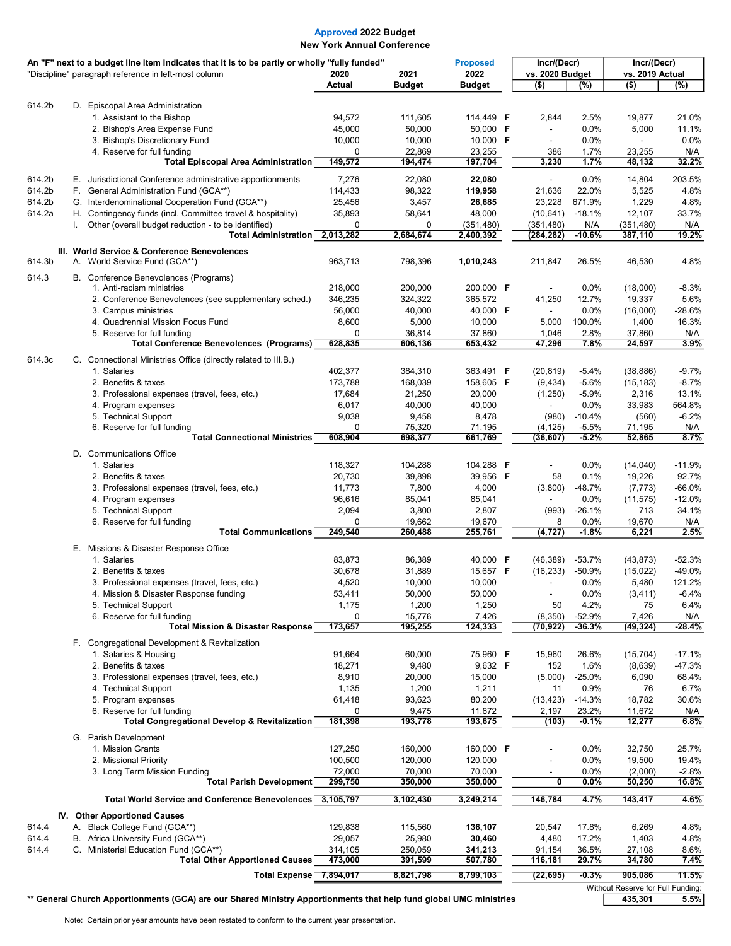| An "F" next to a budget line item indicates that it is to be partly or wholly "fully funded" |    |                                                                                                                    |                       | <b>Proposed</b>    | Incr/(Decr)<br>vs. 2020 Budget |                             | Incr/(Decr)<br>vs. 2019 Actual |                                   |                       |
|----------------------------------------------------------------------------------------------|----|--------------------------------------------------------------------------------------------------------------------|-----------------------|--------------------|--------------------------------|-----------------------------|--------------------------------|-----------------------------------|-----------------------|
|                                                                                              |    | "Discipline" paragraph reference in left-most column                                                               | 2020<br><b>Actual</b> | 2021<br>Budget     | 2022<br><b>Budget</b>          | $($ \$)                     | (%)                            | $($ \$)                           | (%)                   |
|                                                                                              |    |                                                                                                                    |                       |                    |                                |                             |                                |                                   |                       |
| 614.2b                                                                                       |    | D. Episcopal Area Administration<br>1. Assistant to the Bishop                                                     | 94,572                | 111,605            | 114,449 <b>F</b>               | 2,844                       | 2.5%                           | 19,877                            | 21.0%                 |
|                                                                                              |    | 2. Bishop's Area Expense Fund                                                                                      | 45,000                | 50,000             | 50,000 F                       |                             | 0.0%                           | 5,000                             | 11.1%                 |
|                                                                                              |    | 3. Bishop's Discretionary Fund                                                                                     | 10,000                | 10,000             | 10,000 F                       |                             | 0.0%                           |                                   | 0.0%                  |
|                                                                                              |    | 4, Reserve for full funding                                                                                        | $\Omega$              | 22,869             | 23,255                         | 386                         | 1.7%                           | 23,255                            | N/A                   |
|                                                                                              |    | <b>Total Episcopal Area Administration</b>                                                                         | 149,572               | 194,474            | 197,704                        | 3,230                       | 1.7%                           | 48,132                            | 32.2%                 |
| 614.2b                                                                                       |    | E. Jurisdictional Conference administrative apportionments                                                         | 7,276                 | 22,080             | 22,080                         |                             | 0.0%                           | 14,804                            | 203.5%                |
| 614.2b                                                                                       |    | F. General Administration Fund (GCA**)                                                                             | 114,433               | 98,322             | 119,958                        | 21,636                      | 22.0%                          | 5,525                             | 4.8%                  |
| 614.2b                                                                                       |    | G. Interdenominational Cooperation Fund (GCA**)                                                                    | 25,456                | 3,457              | 26,685                         | 23,228                      | 671.9%                         | 1,229                             | 4.8%                  |
| 614.2a                                                                                       | I. | H. Contingency funds (incl. Committee travel & hospitality)<br>Other (overall budget reduction - to be identified) | 35,893<br>0           | 58,641<br>0        | 48,000<br>(351, 480)           | (10, 641)<br>(351, 480)     | $-18.1%$<br>N/A                | 12,107<br>(351, 480)              | 33.7%<br>N/A          |
|                                                                                              |    | <b>Total Administration</b>                                                                                        | 2,013,282             | 2,684,674          | 2,400,392                      | (284, 282)                  | $-10.6%$                       | 387,110                           | 19.2%                 |
|                                                                                              |    | III. World Service & Conference Benevolences                                                                       |                       |                    |                                |                             |                                |                                   |                       |
| 614.3b                                                                                       |    | A. World Service Fund (GCA**)                                                                                      | 963,713               | 798,396            | 1,010,243                      | 211,847                     | 26.5%                          | 46,530                            | 4.8%                  |
| 614.3                                                                                        |    | B. Conference Benevolences (Programs)                                                                              |                       |                    |                                |                             |                                |                                   |                       |
|                                                                                              |    | 1. Anti-racism ministries                                                                                          | 218,000               | 200,000            | 200,000 F                      |                             | 0.0%                           | (18,000)                          | $-8.3%$               |
|                                                                                              |    | 2. Conference Benevolences (see supplementary sched.)<br>3. Campus ministries                                      | 346,235<br>56,000     | 324,322<br>40,000  | 365,572<br>40,000 F            | 41,250                      | 12.7%<br>0.0%                  | 19,337<br>(16,000)                | 5.6%<br>$-28.6%$      |
|                                                                                              |    | 4. Quadrennial Mission Focus Fund                                                                                  | 8,600                 | 5,000              | 10,000                         | 5,000                       | 100.0%                         | 1,400                             | 16.3%                 |
|                                                                                              |    | 5. Reserve for full funding                                                                                        | 0                     | 36,814             | 37,860                         | 1,046                       | 2.8%                           | 37,860                            | N/A                   |
|                                                                                              |    | <b>Total Conference Benevolences (Programs)</b>                                                                    | 628,835               | 606,136            | 653,432                        | 47,296                      | 7.8%                           | 24,597                            | 3.9%                  |
| 614.3c                                                                                       |    | C. Connectional Ministries Office (directly related to III.B.)                                                     |                       |                    |                                |                             |                                |                                   |                       |
|                                                                                              |    | 1. Salaries                                                                                                        | 402,377               | 384,310            | 363,491 F                      | (20, 819)                   | $-5.4%$                        | (38, 886)                         | $-9.7%$               |
|                                                                                              |    | 2. Benefits & taxes                                                                                                | 173,788               | 168,039            | 158,605 F                      | (9, 434)                    | $-5.6%$                        | (15, 183)                         | $-8.7%$               |
|                                                                                              |    | 3. Professional expenses (travel, fees, etc.)<br>4. Program expenses                                               | 17,684<br>6,017       | 21,250<br>40,000   | 20,000<br>40,000               | (1,250)                     | $-5.9%$<br>0.0%                | 2,316<br>33,983                   | 13.1%<br>564.8%       |
|                                                                                              |    | 5. Technical Support                                                                                               | 9,038                 | 9,458              | 8,478                          | (980)                       | $-10.4%$                       | (560)                             | $-6.2%$               |
|                                                                                              |    | 6. Reserve for full funding                                                                                        | 0                     | 75,320             | 71,195                         | (4, 125)                    | $-5.5%$                        | 71,195                            | N/A                   |
|                                                                                              |    | <b>Total Connectional Ministries</b>                                                                               | 608,904               | 698,377            | 661,769                        | (36,607)                    | $-5.2%$                        | 52,865                            | 8.7%                  |
|                                                                                              |    | D. Communications Office                                                                                           |                       |                    |                                |                             |                                |                                   |                       |
|                                                                                              |    | 1. Salaries                                                                                                        | 118,327               | 104,288            | 104,288 <b>F</b>               |                             | 0.0%                           | (14,040)                          | $-11.9%$              |
|                                                                                              |    | 2. Benefits & taxes                                                                                                | 20,730<br>11,773      | 39,898             | 39,956 F                       | 58                          | 0.1%                           | 19,226                            | 92.7%                 |
|                                                                                              |    | 3. Professional expenses (travel, fees, etc.)<br>4. Program expenses                                               | 96,616                | 7,800<br>85,041    | 4,000<br>85,041                | (3,800)                     | $-48.7%$<br>0.0%               | (7, 773)<br>(11, 575)             | $-66.0\%$<br>$-12.0%$ |
|                                                                                              |    | 5. Technical Support                                                                                               | 2,094                 | 3,800              | 2,807                          | (993)                       | $-26.1%$                       | 713                               | 34.1%                 |
|                                                                                              |    | 6. Reserve for full funding                                                                                        | 0                     | 19,662             | 19,670                         | 8                           | 0.0%                           | 19,670                            | N/A                   |
|                                                                                              |    | <b>Total Communications</b>                                                                                        | 249,540               | 260,488            | 255,761                        | (4, 727)                    | $-1.8%$                        | 6,221                             | 2.5%                  |
|                                                                                              |    | E. Missions & Disaster Response Office                                                                             |                       |                    |                                |                             |                                |                                   |                       |
|                                                                                              |    | 1. Salaries                                                                                                        | 83,873                | 86,389             | 40,000 F                       | (46, 389)                   | $-53.7%$                       | (43, 873)                         | $-52.3%$              |
|                                                                                              |    | 2. Benefits & taxes<br>3. Professional expenses (travel, fees, etc.)                                               | 30,678<br>4,520       | 31,889<br>10,000   | 15,657 <b>F</b><br>10,000      | (16, 233)<br>$\blacksquare$ | $-50.9%$<br>0.0%               | (15,022)<br>5,480                 | -49.0%<br>121.2%      |
|                                                                                              |    | 4. Mission & Disaster Response funding                                                                             | 53,411                | 50,000             | 50,000                         |                             | $0.0\%$                        | (3, 411)                          | -6.4%                 |
|                                                                                              |    | 5. Technical Support                                                                                               | 1,175                 | 1,200              | 1,250                          | 50                          | 4.2%                           | 75                                | 6.4%                  |
|                                                                                              |    | 6. Reserve for full funding                                                                                        | 0                     | 15,776             | 7,426                          | (8,350)                     | $-52.9%$                       | 7,426                             | N/A                   |
|                                                                                              |    | <b>Total Mission &amp; Disaster Response</b>                                                                       | 173,657               | 195,255            | 124,333                        | (70,922)                    | -36.3%                         | (49, 324)                         | $-28.4%$              |
|                                                                                              |    | F. Congregational Development & Revitalization                                                                     |                       |                    |                                |                             |                                |                                   |                       |
|                                                                                              |    | 1. Salaries & Housing<br>2. Benefits & taxes                                                                       | 91,664<br>18,271      | 60,000<br>9,480    | 75,960 F<br>9,632 F            | 15,960<br>152               | 26.6%<br>1.6%                  | (15, 704)                         | $-17.1%$<br>$-47.3%$  |
|                                                                                              |    | 3. Professional expenses (travel, fees, etc.)                                                                      | 8,910                 | 20,000             | 15,000                         | (5,000)                     | $-25.0%$                       | (8,639)<br>6,090                  | 68.4%                 |
|                                                                                              |    | 4. Technical Support                                                                                               | 1,135                 | 1,200              | 1,211                          | 11                          | 0.9%                           | 76                                | 6.7%                  |
|                                                                                              |    | 5. Program expenses                                                                                                | 61,418                | 93,623             | 80,200                         | (13, 423)                   | $-14.3%$                       | 18,782                            | 30.6%                 |
|                                                                                              |    | 6. Reserve for full funding                                                                                        | 0                     | 9,475              | 11,672                         | 2,197                       | 23.2%                          | 11,672                            | N/A                   |
|                                                                                              |    | <b>Total Congregational Develop &amp; Revitalization</b>                                                           | 181,398               | 193,778            | 193,675                        | (103)                       | $-0.1\%$                       | 12,277                            | 6.8%                  |
|                                                                                              |    | G. Parish Development                                                                                              |                       |                    |                                |                             |                                |                                   |                       |
|                                                                                              |    | 1. Mission Grants<br>2. Missional Priority                                                                         | 127,250<br>100,500    | 160,000<br>120,000 | 160,000 F<br>120,000           |                             | $0.0\%$<br>$0.0\%$             | 32,750<br>19,500                  | 25.7%<br>19.4%        |
|                                                                                              |    | 3. Long Term Mission Funding                                                                                       | 72,000                | 70,000             | 70,000                         |                             | 0.0%                           | (2,000)                           | $-2.8%$               |
|                                                                                              |    | <b>Total Parish Development</b>                                                                                    | 299,750               | 350,000            | 350,000                        | 0                           | $0.0\%$                        | 50,250                            | 16.8%                 |
|                                                                                              |    | <b>Total World Service and Conference Benevolences</b>                                                             | 3,105,797             | 3,102,430          | 3,249,214                      | 146,784                     | 4.7%                           | 143,417                           | 4.6%                  |
|                                                                                              |    | IV. Other Apportioned Causes                                                                                       |                       |                    |                                |                             |                                |                                   |                       |
| 614.4                                                                                        |    | A. Black College Fund (GCA**)                                                                                      | 129,838               | 115,560            | 136,107                        | 20,547                      | 17.8%                          | 6,269                             | 4.8%                  |
| 614.4                                                                                        |    | B. Africa University Fund (GCA**)                                                                                  | 29,057                | 25,980             | 30,460                         | 4,480                       | 17.2%                          | 1,403                             | 4.8%                  |
| 614.4                                                                                        |    | C. Ministerial Education Fund (GCA**)<br><b>Total Other Apportioned Causes</b>                                     | 314,105<br>473,000    | 250,059<br>391,599 | 341,213<br>507,780             | 91,154<br>116,181           | 36.5%<br>29.7%                 | 27,108<br>34,780                  | 8.6%<br>7.4%          |
|                                                                                              |    | Total Expense 7,894,017                                                                                            |                       | 8,821,798          | 8,799,103                      | (22, 695)                   | $-0.3%$                        | 905,086                           | 11.5%                 |
|                                                                                              |    |                                                                                                                    |                       |                    |                                |                             |                                | Without Reserve for Full Funding: |                       |

### \*\* General Church Apportionments (GCA) are our Shared Ministry Apportionments that help fund global UMC ministries 435,301 5.5%

Note: Certain prior year amounts have been restated to conform to the current year presentation.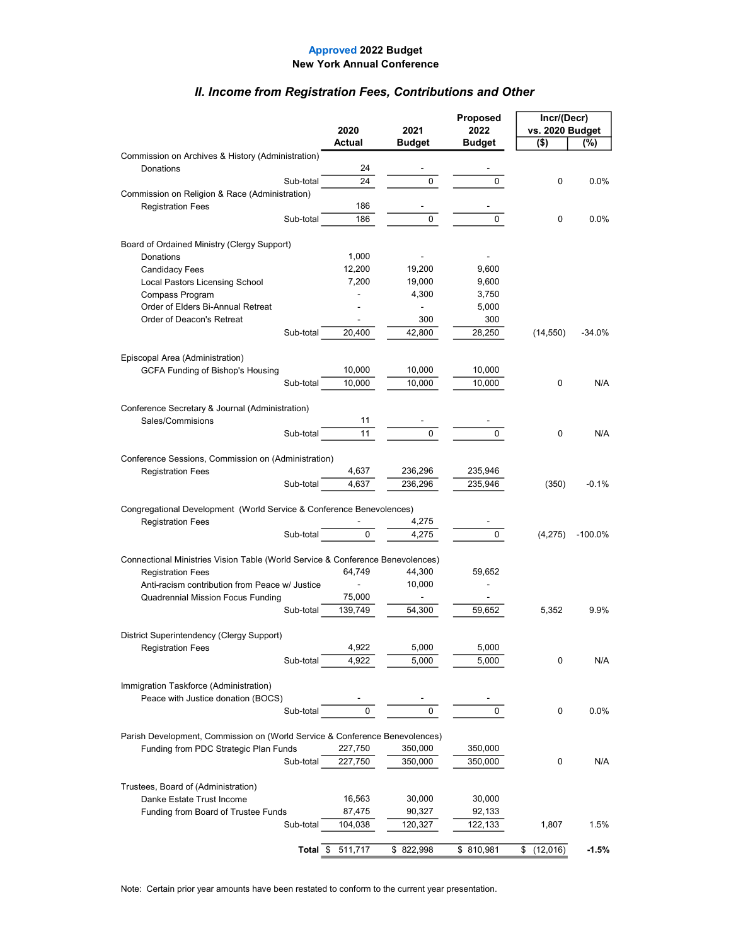### II. Income from Registration Fees, Contributions and Other

|                                                                                 |           |                              |               | Proposed       | Incr/(Decr)     |            |  |
|---------------------------------------------------------------------------------|-----------|------------------------------|---------------|----------------|-----------------|------------|--|
|                                                                                 |           | 2020                         | 2021          | 2022           | vs. 2020 Budget |            |  |
|                                                                                 |           | Actual                       | <b>Budget</b> | <b>Budget</b>  | $($ \$)         | (%)        |  |
| Commission on Archives & History (Administration)                               |           |                              |               |                |                 |            |  |
| Donations                                                                       |           | 24                           |               |                |                 |            |  |
|                                                                                 | Sub-total | 24                           | 0             | 0              | 0               | 0.0%       |  |
| Commission on Religion & Race (Administration)                                  |           |                              |               |                |                 |            |  |
| <b>Registration Fees</b>                                                        |           | 186                          |               |                |                 |            |  |
|                                                                                 | Sub-total | 186                          | 0             | 0              | 0               | $0.0\%$    |  |
|                                                                                 |           |                              |               |                |                 |            |  |
| Board of Ordained Ministry (Clergy Support)                                     |           |                              |               |                |                 |            |  |
| Donations                                                                       |           | 1,000                        |               |                |                 |            |  |
| Candidacy Fees                                                                  |           | 12,200                       | 19,200        | 9,600          |                 |            |  |
| Local Pastors Licensing School                                                  |           | 7,200                        | 19,000        | 9,600          |                 |            |  |
| Compass Program                                                                 |           |                              | 4,300         | 3,750          |                 |            |  |
| Order of Elders Bi-Annual Retreat                                               |           |                              |               | 5,000          |                 |            |  |
| Order of Deacon's Retreat                                                       |           | $\qquad \qquad \blacksquare$ | 300           | 300            |                 |            |  |
|                                                                                 | Sub-total | 20,400                       | 42,800        | 28,250         | (14, 550)       | -34.0%     |  |
|                                                                                 |           |                              |               |                |                 |            |  |
| Episcopal Area (Administration)                                                 |           |                              |               |                |                 |            |  |
| <b>GCFA Funding of Bishop's Housing</b>                                         |           | 10,000                       | 10,000        | 10,000         |                 |            |  |
|                                                                                 | Sub-total | 10.000                       | 10,000        | 10,000         | 0               | N/A        |  |
|                                                                                 |           |                              |               |                |                 |            |  |
| Conference Secretary & Journal (Administration)                                 |           |                              |               |                |                 |            |  |
| Sales/Commisions                                                                |           | 11                           |               |                |                 |            |  |
|                                                                                 | Sub-total | 11                           | 0             | 0              | 0               | N/A        |  |
|                                                                                 |           |                              |               |                |                 |            |  |
| Conference Sessions, Commission on (Administration)<br><b>Registration Fees</b> |           | 4,637                        | 236,296       | 235,946        |                 |            |  |
|                                                                                 | Sub-total | 4,637                        |               |                |                 | $-0.1%$    |  |
|                                                                                 |           |                              | 236,296       | 235,946        | (350)           |            |  |
| Congregational Development (World Service & Conference Benevolences)            |           |                              |               |                |                 |            |  |
| <b>Registration Fees</b>                                                        |           |                              | 4,275         |                |                 |            |  |
|                                                                                 | Sub-total | 0                            | 4,275         | $\overline{0}$ | (4,275)         | $-100.0\%$ |  |
|                                                                                 |           |                              |               |                |                 |            |  |
| Connectional Ministries Vision Table (World Service & Conference Benevolences)  |           |                              |               |                |                 |            |  |
| <b>Registration Fees</b>                                                        |           | 64,749                       | 44,300        | 59,652         |                 |            |  |
| Anti-racism contribution from Peace w/ Justice                                  |           |                              | 10,000        |                |                 |            |  |
| Quadrennial Mission Focus Funding                                               |           | 75,000                       |               |                |                 |            |  |
|                                                                                 | Sub-total | 139,749                      | 54,300        | 59,652         | 5,352           | 9.9%       |  |
|                                                                                 |           |                              |               |                |                 |            |  |
| District Superintendency (Clergy Support)                                       |           |                              |               |                |                 |            |  |
| <b>Registration Fees</b>                                                        |           | 4,922                        | 5,000         | 5,000          |                 |            |  |
|                                                                                 | Sub-total | 4,922                        | 5,000         | 5,000          | 0               | N/A        |  |
|                                                                                 |           |                              |               |                |                 |            |  |
| Immigration Taskforce (Administration)                                          |           |                              |               |                |                 |            |  |
| Peace with Justice donation (BOCS)                                              |           |                              |               |                |                 |            |  |
|                                                                                 | Sub-total | 0                            | 0             | 0              | 0               | $0.0\%$    |  |
|                                                                                 |           |                              |               |                |                 |            |  |
| Parish Development, Commission on (World Service & Conference Benevolences)     |           |                              |               |                |                 |            |  |
| Funding from PDC Strategic Plan Funds                                           |           | 227,750                      | 350,000       | 350,000        |                 |            |  |
|                                                                                 | Sub-total | 227,750                      | 350,000       | 350,000        | 0               | N/A        |  |
|                                                                                 |           |                              |               |                |                 |            |  |
| Trustees, Board of (Administration)                                             |           |                              |               |                |                 |            |  |
| Danke Estate Trust Income                                                       |           | 16,563                       | 30,000        | 30,000         |                 |            |  |
| Funding from Board of Trustee Funds                                             |           | 87,475                       | 90,327        | 92,133         |                 |            |  |
|                                                                                 | Sub-total | 104,038                      | 120,327       | 122,133        | 1,807           | 1.5%       |  |
|                                                                                 |           |                              |               |                |                 |            |  |
|                                                                                 |           | Total \$ 511,717             | \$822,998     | \$ 810,981     | (12,016)<br>\$  | -1.5%      |  |

Note: Certain prior year amounts have been restated to conform to the current year presentation.